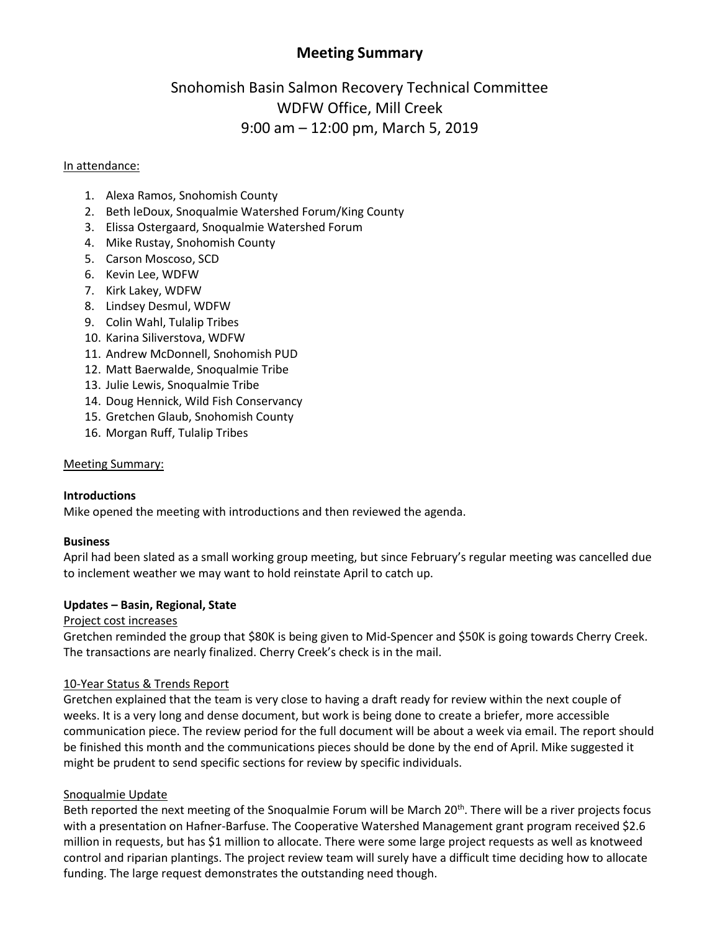# **Meeting Summary**

# Snohomish Basin Salmon Recovery Technical Committee WDFW Office, Mill Creek 9:00 am – 12:00 pm, March 5, 2019

#### In attendance:

- 1. Alexa Ramos, Snohomish County
- 2. Beth leDoux, Snoqualmie Watershed Forum/King County
- 3. Elissa Ostergaard, Snoqualmie Watershed Forum
- 4. Mike Rustay, Snohomish County
- 5. Carson Moscoso, SCD
- 6. Kevin Lee, WDFW
- 7. Kirk Lakey, WDFW
- 8. Lindsey Desmul, WDFW
- 9. Colin Wahl, Tulalip Tribes
- 10. Karina Siliverstova, WDFW
- 11. Andrew McDonnell, Snohomish PUD
- 12. Matt Baerwalde, Snoqualmie Tribe
- 13. Julie Lewis, Snoqualmie Tribe
- 14. Doug Hennick, Wild Fish Conservancy
- 15. Gretchen Glaub, Snohomish County
- 16. Morgan Ruff, Tulalip Tribes

#### Meeting Summary:

#### **Introductions**

Mike opened the meeting with introductions and then reviewed the agenda.

#### **Business**

April had been slated as a small working group meeting, but since February's regular meeting was cancelled due to inclement weather we may want to hold reinstate April to catch up.

#### **Updates – Basin, Regional, State**

#### Project cost increases

Gretchen reminded the group that \$80K is being given to Mid-Spencer and \$50K is going towards Cherry Creek. The transactions are nearly finalized. Cherry Creek's check is in the mail.

#### 10-Year Status & Trends Report

Gretchen explained that the team is very close to having a draft ready for review within the next couple of weeks. It is a very long and dense document, but work is being done to create a briefer, more accessible communication piece. The review period for the full document will be about a week via email. The report should be finished this month and the communications pieces should be done by the end of April. Mike suggested it might be prudent to send specific sections for review by specific individuals.

#### Snoqualmie Update

Beth reported the next meeting of the Snoqualmie Forum will be March 20<sup>th</sup>. There will be a river projects focus with a presentation on Hafner-Barfuse. The Cooperative Watershed Management grant program received \$2.6 million in requests, but has \$1 million to allocate. There were some large project requests as well as knotweed control and riparian plantings. The project review team will surely have a difficult time deciding how to allocate funding. The large request demonstrates the outstanding need though.